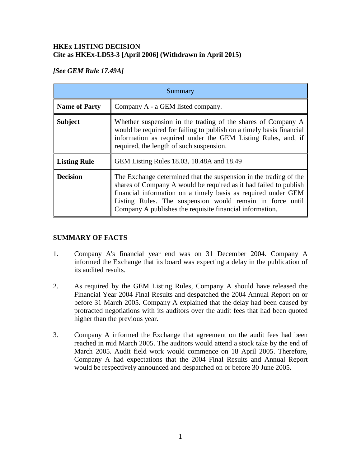### **HKEx LISTING DECISION Cite as HKEx-LD53-3 [April 2006] (Withdrawn in April 2015)**

# *[See GEM Rule 17.49A]*

| Summary              |                                                                                                                                                                                                                                                                                                                                  |
|----------------------|----------------------------------------------------------------------------------------------------------------------------------------------------------------------------------------------------------------------------------------------------------------------------------------------------------------------------------|
| <b>Name of Party</b> | Company A - a GEM listed company.                                                                                                                                                                                                                                                                                                |
| <b>Subject</b>       | Whether suspension in the trading of the shares of Company A<br>would be required for failing to publish on a timely basis financial<br>information as required under the GEM Listing Rules, and, if<br>required, the length of such suspension.                                                                                 |
| <b>Listing Rule</b>  | GEM Listing Rules 18.03, 18.48A and 18.49                                                                                                                                                                                                                                                                                        |
| <b>Decision</b>      | The Exchange determined that the suspension in the trading of the<br>shares of Company A would be required as it had failed to publish<br>financial information on a timely basis as required under GEM<br>Listing Rules. The suspension would remain in force until<br>Company A publishes the requisite financial information. |

## **SUMMARY OF FACTS**

- 1. Company A's financial year end was on 31 December 2004. Company A informed the Exchange that its board was expecting a delay in the publication of its audited results.
- 2. As required by the GEM Listing Rules, Company A should have released the Financial Year 2004 Final Results and despatched the 2004 Annual Report on or before 31 March 2005. Company A explained that the delay had been caused by protracted negotiations with its auditors over the audit fees that had been quoted higher than the previous year.
- 3. Company A informed the Exchange that agreement on the audit fees had been reached in mid March 2005. The auditors would attend a stock take by the end of March 2005. Audit field work would commence on 18 April 2005. Therefore, Company A had expectations that the 2004 Final Results and Annual Report would be respectively announced and despatched on or before 30 June 2005.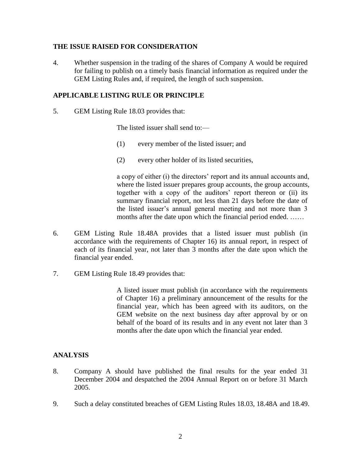#### **THE ISSUE RAISED FOR CONSIDERATION**

4. Whether suspension in the trading of the shares of Company A would be required for failing to publish on a timely basis financial information as required under the GEM Listing Rules and, if required, the length of such suspension.

#### **APPLICABLE LISTING RULE OR PRINCIPLE**

5. GEM Listing Rule 18.03 provides that:

The listed issuer shall send to:—

- (1) every member of the listed issuer; and
- (2) every other holder of its listed securities,

a copy of either (i) the directors' report and its annual accounts and, where the listed issuer prepares group accounts, the group accounts, together with a copy of the auditors' report thereon or (ii) its summary financial report, not less than 21 days before the date of the listed issuer's annual general meeting and not more than 3 months after the date upon which the financial period ended. ……

- 6. GEM Listing Rule 18.48A provides that a listed issuer must publish (in accordance with the requirements of Chapter 16) its annual report, in respect of each of its financial year, not later than 3 months after the date upon which the financial year ended.
- 7. GEM Listing Rule 18.49 provides that:

A listed issuer must publish (in accordance with the requirements of Chapter 16) a preliminary announcement of the results for the financial year, which has been agreed with its auditors, on the GEM website on the next business day after approval by or on behalf of the board of its results and in any event not later than 3 months after the date upon which the financial year ended.

### **ANALYSIS**

- 8. Company A should have published the final results for the year ended 31 December 2004 and despatched the 2004 Annual Report on or before 31 March 2005.
- 9. Such a delay constituted breaches of GEM Listing Rules 18.03, 18.48A and 18.49.